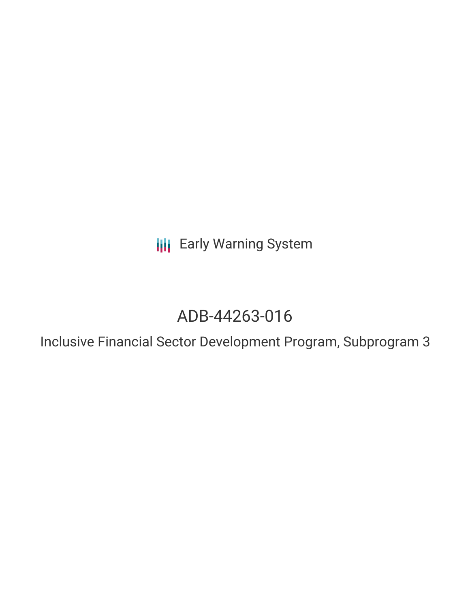**III** Early Warning System

# ADB-44263-016

Inclusive Financial Sector Development Program, Subprogram 3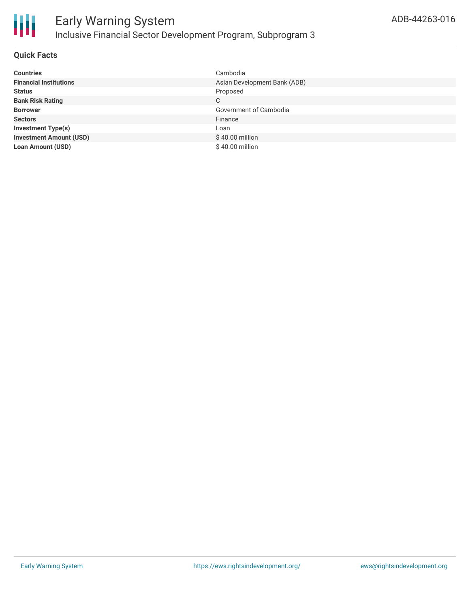

# **Quick Facts**

| <b>Countries</b>               | Cambodia                     |
|--------------------------------|------------------------------|
| <b>Financial Institutions</b>  | Asian Development Bank (ADB) |
| <b>Status</b>                  | Proposed                     |
| <b>Bank Risk Rating</b>        | C                            |
| <b>Borrower</b>                | Government of Cambodia       |
| <b>Sectors</b>                 | Finance                      |
| <b>Investment Type(s)</b>      | Loan                         |
| <b>Investment Amount (USD)</b> | \$40.00 million              |
| <b>Loan Amount (USD)</b>       | \$40.00 million              |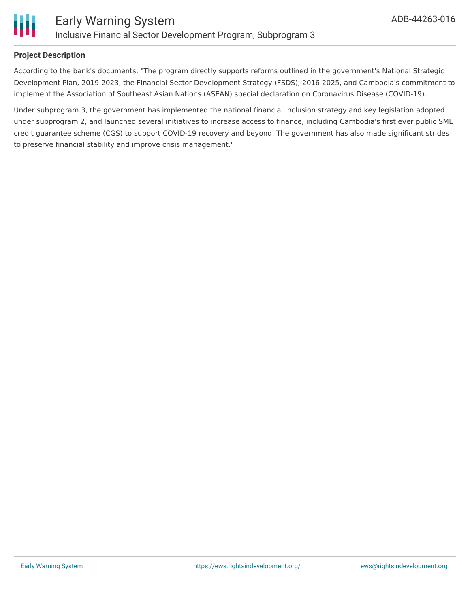

## **Project Description**

Ш

According to the bank's documents, "The program directly supports reforms outlined in the government's National Strategic Development Plan, 2019 2023, the Financial Sector Development Strategy (FSDS), 2016 2025, and Cambodia's commitment to implement the Association of Southeast Asian Nations (ASEAN) special declaration on Coronavirus Disease (COVID-19).

Under subprogram 3, the government has implemented the national financial inclusion strategy and key legislation adopted under subprogram 2, and launched several initiatives to increase access to finance, including Cambodia's first ever public SME credit guarantee scheme (CGS) to support COVID-19 recovery and beyond. The government has also made significant strides to preserve financial stability and improve crisis management."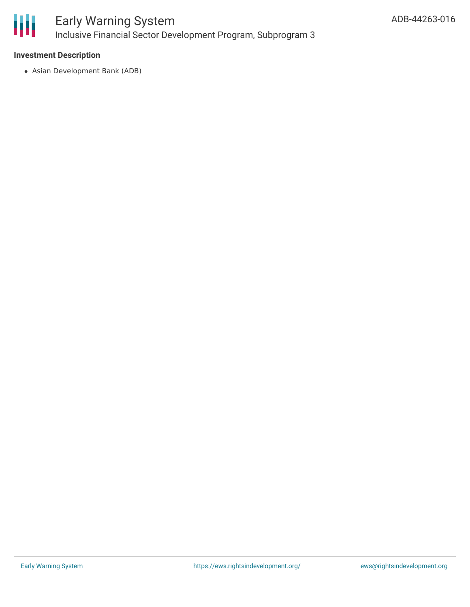

# **Investment Description**

Asian Development Bank (ADB)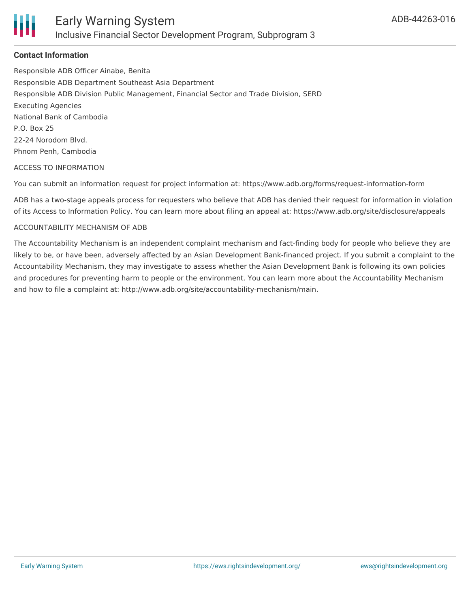

# **Contact Information**

Responsible ADB Officer Ainabe, Benita Responsible ADB Department Southeast Asia Department Responsible ADB Division Public Management, Financial Sector and Trade Division, SERD Executing Agencies National Bank of Cambodia P.O. Box 25 22-24 Norodom Blvd. Phnom Penh, Cambodia

#### ACCESS TO INFORMATION

You can submit an information request for project information at: https://www.adb.org/forms/request-information-form

ADB has a two-stage appeals process for requesters who believe that ADB has denied their request for information in violation of its Access to Information Policy. You can learn more about filing an appeal at: https://www.adb.org/site/disclosure/appeals

#### ACCOUNTABILITY MECHANISM OF ADB

The Accountability Mechanism is an independent complaint mechanism and fact-finding body for people who believe they are likely to be, or have been, adversely affected by an Asian Development Bank-financed project. If you submit a complaint to the Accountability Mechanism, they may investigate to assess whether the Asian Development Bank is following its own policies and procedures for preventing harm to people or the environment. You can learn more about the Accountability Mechanism and how to file a complaint at: http://www.adb.org/site/accountability-mechanism/main.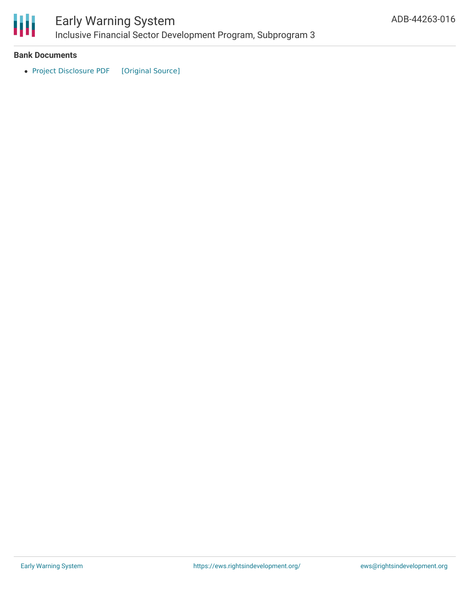

# Early Warning System Inclusive Financial Sector Development Program, Subprogram 3

## **Bank Documents**

• Project [Disclosure](https://ewsdata.rightsindevelopment.org/files/documents/16/ADB-44263-016.pdf) PDF [\[Original](https://www.adb.org/printpdf/projects/44263-016/main) Source]